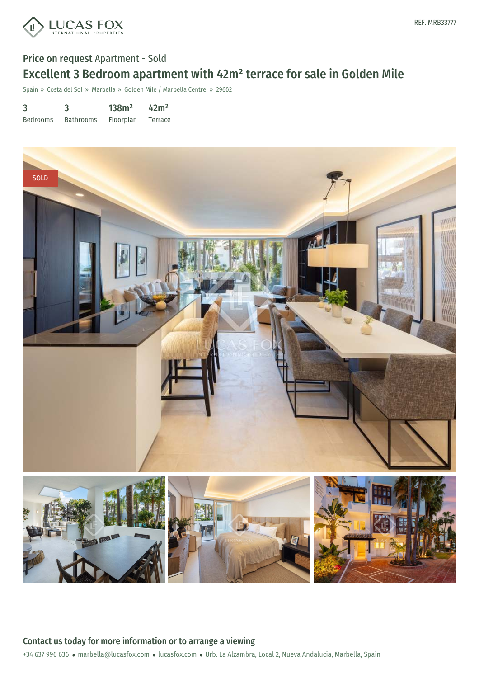

# Price on request Apartment - Sold Excellent 3 Bedroom apartment with 42m² terrace for sale in Golden Mile

Spain » Costa del Sol » Marbella » Golden Mile / Marbella Centre » 29602

| 3               | 3                | 138m <sup>2</sup> | 42m <sup>2</sup> |
|-----------------|------------------|-------------------|------------------|
| <b>Bedrooms</b> | <b>Bathrooms</b> | Floorplan         | Terrace          |



+34 637 996 636 · marbella@lucasfox.com · lucasfox.com · Urb. La Alzambra, Local 2, Nueva Andalucia, Marbella, Spain Contact us today for more information or to arrange a viewing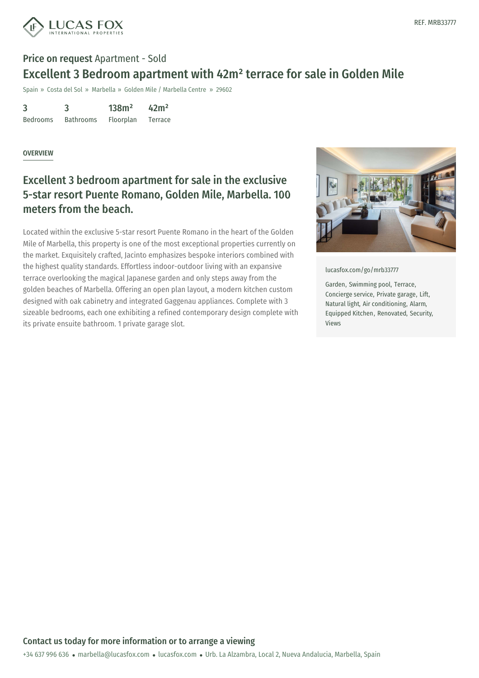

## Price on request Apartment - Sold Excellent 3 Bedroom apartment with 42m² terrace for sale in Golden Mile

Spain » Costa del Sol » Marbella » Golden Mile / Marbella Centre » 29602

3 Bedrooms 3 Bathrooms 138m² Floorplan 42m² Terrace

#### **OVERVIEW**

## Excellent 3 bedroom apartment for sale in the exclusive 5-star resort Puente Romano, Golden Mile, Marbella. 100 meters from the beach.

Located within the exclusive 5-star resort Puente Romano in the heart of the Golden Mile of Marbella, this property is one of the most exceptional properties currently on the market. Exquisitely crafted, Jacinto emphasizes bespoke interiors combined with the highest quality standards. Effortless indoor-outdoor living with an expansive terrace overlooking the magical Japanese garden and only steps away from the golden beaches of Marbella. Offering an open plan layout, a modern kitchen custom designed with oak cabinetry and integrated Gaggenau appliances. Complete with 3 sizeable bedrooms, each one exhibiting a refined contemporary design complete with its private ensuite bathroom. 1 private garage slot.



[lucasfox.com/go/mrb33777](https://www.lucasfox.com/go/mrb33777)

Garden, Swimming pool, Terrace, Concierge service, Private garage, Lift, Natural light, Air conditioning, Alarm, Equipped Kitchen, Renovated, Security, Views